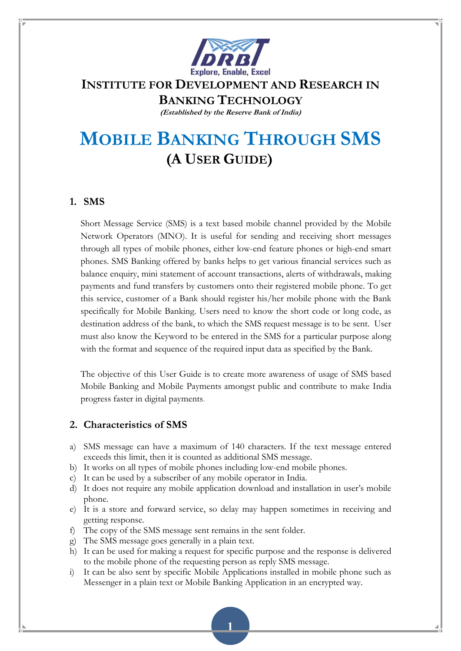

# INSTITUTE FOR DEVELOPMENT AND RESEARCH IN

BANKING TECHNOLOGY

(Established by the Reserve Bank of India)

# MOBILE BANKING THROUGH SMS (A USER GUIDE)

# 1. SMS

Short Message Service (SMS) is a text based mobile channel provided by the Mobile Network Operators (MNO). It is useful for sending and receiving short messages through all types of mobile phones, either low-end feature phones or high-end smart phones. SMS Banking offered by banks helps to get various financial services such as balance enquiry, mini statement of account transactions, alerts of withdrawals, making payments and fund transfers by customers onto their registered mobile phone. To get this service, customer of a Bank should register his/her mobile phone with the Bank specifically for Mobile Banking. Users need to know the short code or long code, as destination address of the bank, to which the SMS request message is to be sent. User must also know the Keyword to be entered in the SMS for a particular purpose along with the format and sequence of the required input data as specified by the Bank.

The objective of this User Guide is to create more awareness of usage of SMS based Mobile Banking and Mobile Payments amongst public and contribute to make India progress faster in digital payments.

## 2. Characteristics of SMS

- a) SMS message can have a maximum of 140 characters. If the text message entered exceeds this limit, then it is counted as additional SMS message.
- b) It works on all types of mobile phones including low-end mobile phones.
- c) It can be used by a subscriber of any mobile operator in India.
- d) It does not require any mobile application download and installation in user's mobile phone.
- e) It is a store and forward service, so delay may happen sometimes in receiving and getting response.
- f) The copy of the SMS message sent remains in the sent folder.
- g) The SMS message goes generally in a plain text.
- h) It can be used for making a request for specific purpose and the response is delivered to the mobile phone of the requesting person as reply SMS message.
- i) It can be also sent by specific Mobile Applications installed in mobile phone such as Messenger in a plain text or Mobile Banking Application in an encrypted way.

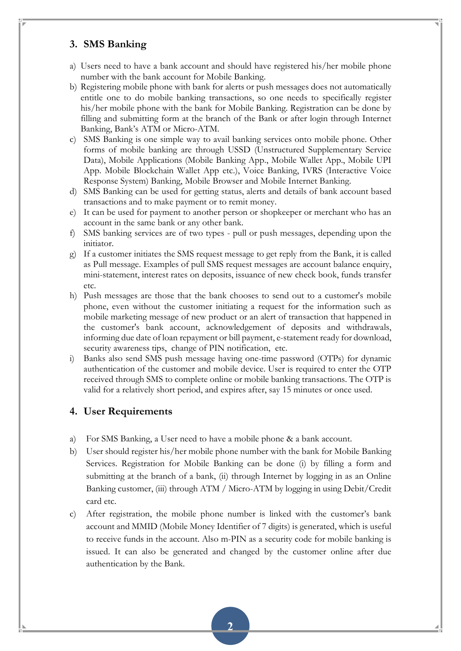#### 3. SMS Banking

- a) Users need to have a bank account and should have registered his/her mobile phone number with the bank account for Mobile Banking.
- b) Registering mobile phone with bank for alerts or push messages does not automatically entitle one to do mobile banking transactions, so one needs to specifically register his/her mobile phone with the bank for Mobile Banking. Registration can be done by filling and submitting form at the branch of the Bank or after login through Internet Banking, Bank's ATM or Micro-ATM.
- c) SMS Banking is one simple way to avail banking services onto mobile phone. Other forms of mobile banking are through USSD (Unstructured Supplementary Service Data), Mobile Applications (Mobile Banking App., Mobile Wallet App., Mobile UPI App. Mobile Blockchain Wallet App etc.), Voice Banking, IVRS (Interactive Voice Response System) Banking, Mobile Browser and Mobile Internet Banking.
- d) SMS Banking can be used for getting status, alerts and details of bank account based transactions and to make payment or to remit money.
- e) It can be used for payment to another person or shopkeeper or merchant who has an account in the same bank or any other bank.
- f) SMS banking services are of two types pull or push messages, depending upon the initiator.
- g) If a customer initiates the SMS request message to get reply from the Bank, it is called as Pull message. Examples of pull SMS request messages are account balance enquiry, mini-statement, interest rates on deposits, issuance of new check book, funds transfer etc.
- h) Push messages are those that the bank chooses to send out to a customer's mobile phone, even without the customer initiating a request for the information such as mobile marketing message of new product or an alert of transaction that happened in the customer's bank account, acknowledgement of deposits and withdrawals, informing due date of loan repayment or bill payment, e-statement ready for download, security awareness tips, change of PIN notification, etc.
- i) Banks also send SMS push message having one-time password (OTPs) for dynamic authentication of the customer and mobile device. User is required to enter the OTP received through SMS to complete online or mobile banking transactions. The OTP is valid for a relatively short period, and expires after, say 15 minutes or once used.

#### 4. User Requirements

- a) For SMS Banking, a User need to have a mobile phone & a bank account.
- b) User should register his/her mobile phone number with the bank for Mobile Banking Services. Registration for Mobile Banking can be done (i) by filling a form and submitting at the branch of a bank, (ii) through Internet by logging in as an Online Banking customer, (iii) through ATM / Micro-ATM by logging in using Debit/Credit card etc.
- c) After registration, the mobile phone number is linked with the customer's bank account and MMID (Mobile Money Identifier of 7 digits) is generated, which is useful to receive funds in the account. Also m-PIN as a security code for mobile banking is issued. It can also be generated and changed by the customer online after due authentication by the Bank.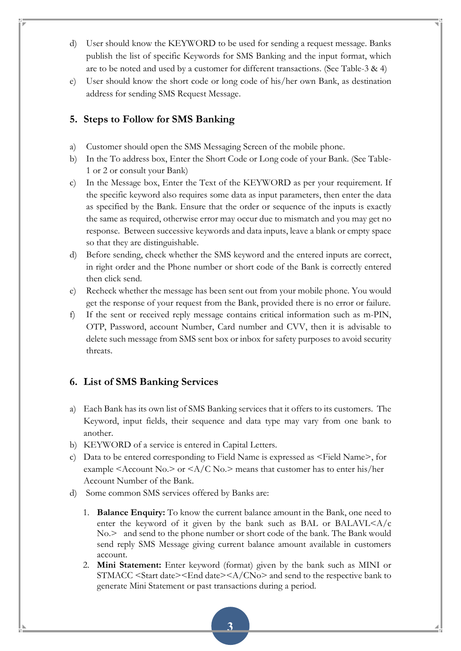- d) User should know the KEYWORD to be used for sending a request message. Banks publish the list of specific Keywords for SMS Banking and the input format, which are to be noted and used by a customer for different transactions. (See Table-3 & 4)
- e) User should know the short code or long code of his/her own Bank, as destination address for sending SMS Request Message.

#### 5. Steps to Follow for SMS Banking

- a) Customer should open the SMS Messaging Screen of the mobile phone.
- b) In the To address box, Enter the Short Code or Long code of your Bank. (See Table-1 or 2 or consult your Bank)
- c) In the Message box, Enter the Text of the KEYWORD as per your requirement. If the specific keyword also requires some data as input parameters, then enter the data as specified by the Bank. Ensure that the order or sequence of the inputs is exactly the same as required, otherwise error may occur due to mismatch and you may get no response. Between successive keywords and data inputs, leave a blank or empty space so that they are distinguishable.
- d) Before sending, check whether the SMS keyword and the entered inputs are correct, in right order and the Phone number or short code of the Bank is correctly entered then click send.
- e) Recheck whether the message has been sent out from your mobile phone. You would get the response of your request from the Bank, provided there is no error or failure.
- f) If the sent or received reply message contains critical information such as m-PIN, OTP, Password, account Number, Card number and CVV, then it is advisable to delete such message from SMS sent box or inbox for safety purposes to avoid security threats.

#### 6. List of SMS Banking Services

- a) Each Bank has its own list of SMS Banking services that it offers to its customers. The Keyword, input fields, their sequence and data type may vary from one bank to another.
- b) KEYWORD of a service is entered in Capital Letters.
- c) Data to be entered corresponding to Field Name is expressed as <Field Name>, for example <Account No. $>$  or <A/C No. $>$  means that customer has to enter his/her Account Number of the Bank.
- d) Some common SMS services offered by Banks are:
	- 1. **Balance Enquiry:** To know the current balance amount in the Bank, one need to enter the keyword of it given by the bank such as BAL or BALAVL $\leq A/c$ No.> and send to the phone number or short code of the bank. The Bank would send reply SMS Message giving current balance amount available in customers account.
	- 2. Mini Statement: Enter keyword (format) given by the bank such as MINI or STMACC <Start date><End date><A/CNo> and send to the respective bank to generate Mini Statement or past transactions during a period.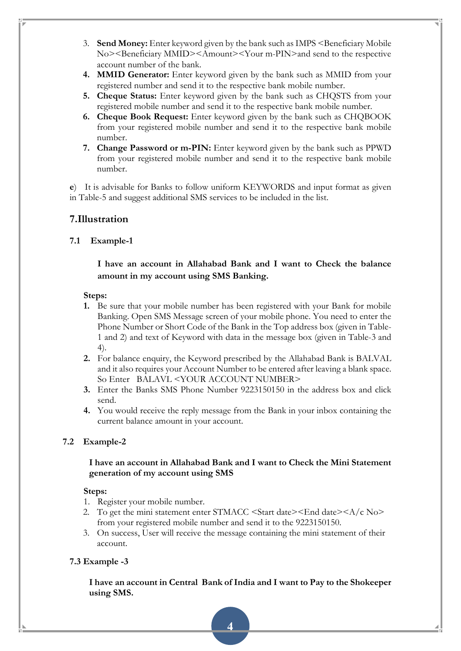- 3. Send Money: Enter keyword given by the bank such as IMPS <Beneficiary Mobile No><Beneficiary MMID><Amount><Your m-PIN>and send to the respective account number of the bank.
- 4. MMID Generator: Enter keyword given by the bank such as MMID from your registered number and send it to the respective bank mobile number.
- 5. Cheque Status: Enter keyword given by the bank such as CHQSTS from your registered mobile number and send it to the respective bank mobile number.
- 6. Cheque Book Request: Enter keyword given by the bank such as CHQBOOK from your registered mobile number and send it to the respective bank mobile number.
- 7. Change Password or m-PIN: Enter keyword given by the bank such as PPWD from your registered mobile number and send it to the respective bank mobile number.

e) It is advisable for Banks to follow uniform KEYWORDS and input format as given in Table-5 and suggest additional SMS services to be included in the list.

## 7.Illustration

#### 7.1 Example-1

#### I have an account in Allahabad Bank and I want to Check the balance amount in my account using SMS Banking.

#### Steps:

- 1. Be sure that your mobile number has been registered with your Bank for mobile Banking. Open SMS Message screen of your mobile phone. You need to enter the Phone Number or Short Code of the Bank in the Top address box (given in Table-1 and 2) and text of Keyword with data in the message box (given in Table-3 and 4).
- 2. For balance enquiry, the Keyword prescribed by the Allahabad Bank is BALVAL and it also requires your Account Number to be entered after leaving a blank space. So Enter BALAVL <YOUR ACCOUNT NUMBER>
- 3. Enter the Banks SMS Phone Number 9223150150 in the address box and click send.
- 4. You would receive the reply message from the Bank in your inbox containing the current balance amount in your account.

#### 7.2 Example-2

#### I have an account in Allahabad Bank and I want to Check the Mini Statement generation of my account using SMS

#### Steps:

- 1. Register your mobile number.
- 2. To get the mini statement enter STMACC  $\leq$ Start date $\geq$ End date $\geq$ A/c No $\geq$ from your registered mobile number and send it to the 9223150150.
- 3. On success, User will receive the message containing the mini statement of their account.

#### 7.3 Example -3

I have an account in Central Bank of India and I want to Pay to the Shokeeper using SMS.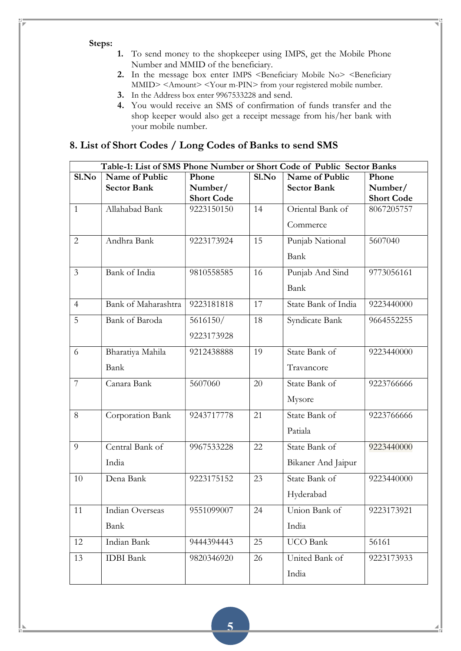#### Steps:

- 1. To send money to the shopkeeper using IMPS, get the Mobile Phone Number and MMID of the beneficiary.
- 2. In the message box enter IMPS <Beneficiary Mobile No> <Beneficiary MMID> <Amount> <Your m-PIN> from your registered mobile number.
- 3. In the Address box enter 9967533228 and send.
- 4. You would receive an SMS of confirmation of funds transfer and the shop keeper would also get a receipt message from his/her bank with your mobile number.

# 8. List of Short Codes / Long Codes of Banks to send SMS

|                | Table-1: List of SMS Phone Number or Short Code of Public Sector Banks |                   |       |                     |                   |
|----------------|------------------------------------------------------------------------|-------------------|-------|---------------------|-------------------|
| S1.No          | Name of Public                                                         | Phone             | S1.No | Name of Public      | Phone             |
|                | <b>Sector Bank</b>                                                     | Number/           |       | <b>Sector Bank</b>  | Number/           |
|                |                                                                        | <b>Short Code</b> |       |                     | <b>Short Code</b> |
| $\mathbf{1}$   | Allahabad Bank                                                         | 9223150150        | 14    | Oriental Bank of    | 8067205757        |
|                |                                                                        |                   |       | Commerce            |                   |
| $\overline{2}$ | Andhra Bank                                                            | 9223173924        | 15    | Punjab National     | 5607040           |
|                |                                                                        |                   |       | Bank                |                   |
| $\mathfrak{Z}$ | <b>Bank</b> of India                                                   | 9810558585        | 16    | Punjab And Sind     | 9773056161        |
|                |                                                                        |                   |       | Bank                |                   |
| $\overline{4}$ | Bank of Maharashtra                                                    | 9223181818        | 17    | State Bank of India | 9223440000        |
| 5              | Bank of Baroda                                                         | 5616150/          | 18    | Syndicate Bank      | 9664552255        |
|                |                                                                        | 9223173928        |       |                     |                   |
| 6              | Bharatiya Mahila                                                       | 9212438888        | 19    | State Bank of       | 9223440000        |
|                | Bank                                                                   |                   |       | Travancore          |                   |
| $\overline{7}$ | Canara Bank                                                            | 5607060           | 20    | State Bank of       | 9223766666        |
|                |                                                                        |                   |       | Mysore              |                   |
| 8              | Corporation Bank                                                       | 9243717778        | 21    | State Bank of       | 9223766666        |
|                |                                                                        |                   |       | Patiala             |                   |
| 9              | Central Bank of                                                        | 9967533228        | 22    | State Bank of       | 9223440000        |
|                | India                                                                  |                   |       | Bikaner And Jaipur  |                   |
| 10             | Dena Bank                                                              | 9223175152        | 23    | State Bank of       | 9223440000        |
|                |                                                                        |                   |       | Hyderabad           |                   |
| 11             | Indian Overseas                                                        | 9551099007        | 24    | Union Bank of       | 9223173921        |
|                | Bank                                                                   |                   |       | India               |                   |
| 12             | Indian Bank                                                            | 9444394443        | 25    | <b>UCO</b> Bank     | 56161             |
| 13             | <b>IDBI</b> Bank                                                       | 9820346920        | 26    | United Bank of      | 9223173933        |
|                |                                                                        |                   |       | India               |                   |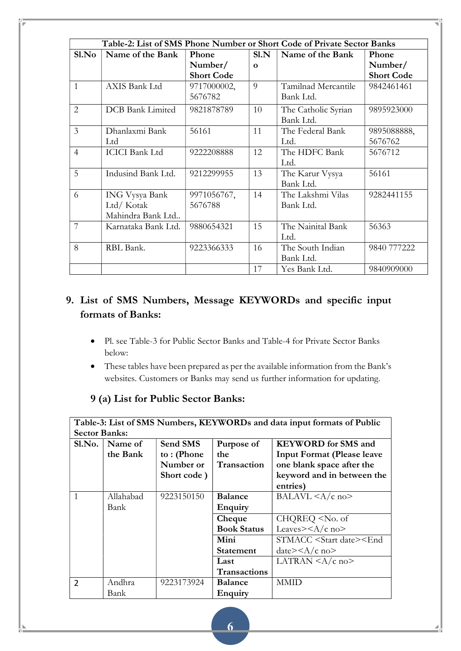| S1.No          | Name of the Bank      | Phone             | S1.N     | Name of the Bank    | Phone             |
|----------------|-----------------------|-------------------|----------|---------------------|-------------------|
|                |                       | Number/           | $\Omega$ |                     | Number/           |
|                |                       | <b>Short Code</b> |          |                     | <b>Short Code</b> |
| $\mathbf{1}$   | AXIS Bank Ltd         | 9717000002,       | 9        | Tamilnad Mercantile | 9842461461        |
|                |                       | 5676782           |          | Bank Ltd.           |                   |
| 2              | DCB Bank Limited      | 9821878789        | 10       | The Catholic Syrian | 9895923000        |
|                |                       |                   |          | Bank Ltd.           |                   |
| $\overline{3}$ | Dhanlaxmi Bank        | 56161             | 11       | The Federal Bank    | 9895088888,       |
|                | Ltd                   |                   |          | Ltd.                | 5676762           |
| $\overline{4}$ | <b>ICICI</b> Bank Ltd | 9222208888        | 12       | The HDFC Bank       | 5676712           |
|                |                       |                   |          | Ltd.                |                   |
| 5              | Indusind Bank Ltd.    | 9212299955        | 13       | The Karur Vysya     | 56161             |
|                |                       |                   |          | Bank Ltd.           |                   |
| 6              | ING Vysya Bank        | 9971056767,       | 14       | The Lakshmi Vilas   | 9282441155        |
|                | Ltd/Kotak             | 5676788           |          | Bank Ltd.           |                   |
|                | Mahindra Bank Ltd     |                   |          |                     |                   |
| $\overline{7}$ | Karnataka Bank Ltd.   | 9880654321        | 15       | The Nainital Bank   | 56363             |
|                |                       |                   |          | Ltd.                |                   |
| 8              | RBL Bank.             | 9223366333        | 16       | The South Indian    | 9840 777222       |
|                |                       |                   |          | Bank Ltd.           |                   |
|                |                       |                   | 17       | Yes Bank Ltd.       | 9840909000        |

# 9. List of SMS Numbers, Message KEYWORDs and specific input formats of Banks:

- Pl. see Table-3 for Public Sector Banks and Table-4 for Private Sector Banks below:
- These tables have been prepared as per the available information from the Bank's websites. Customers or Banks may send us further information for updating.

| Table-3: List of SMS Numbers, KEYWORDs and data input formats of Public |           |             |                    |                                                   |
|-------------------------------------------------------------------------|-----------|-------------|--------------------|---------------------------------------------------|
| <b>Sector Banks:</b>                                                    |           |             |                    |                                                   |
| S1.No.                                                                  | Name of   | Send SMS    | Purpose of         | <b>KEYWORD</b> for SMS and                        |
|                                                                         | the Bank  | to: (Phone  | the                | <b>Input Format (Please leave</b>                 |
|                                                                         |           | Number or   | Transaction        | one blank space after the                         |
|                                                                         |           | Short code) |                    | keyword and in between the                        |
|                                                                         |           |             |                    | entries)                                          |
| $\mathbf{1}$                                                            | Allahabad | 9223150150  | <b>Balance</b>     | BALAVL $\langle A/c \rangle$ no $>$               |
|                                                                         | Bank      |             | Enquiry            |                                                   |
|                                                                         |           |             | Cheque             | CHQREQ <no. of<="" th=""></no.>                   |
|                                                                         |           |             | <b>Book Status</b> | Leaves> $\langle A/c \rangle$ no>                 |
|                                                                         |           |             | Mini               | STMACC <start date=""><end< th=""></end<></start> |
|                                                                         |           |             | <b>Statement</b>   | $date> no>$                                       |
|                                                                         |           |             | Last               | LATRAN $\langle A/c \rangle$ no $>$               |
|                                                                         |           |             | Transactions       |                                                   |
| $\mathcal{P}$                                                           | Andhra    | 9223173924  | <b>Balance</b>     | <b>MMID</b>                                       |
|                                                                         | Bank      |             | <b>Enquiry</b>     |                                                   |

# 9 (a) List for Public Sector Banks: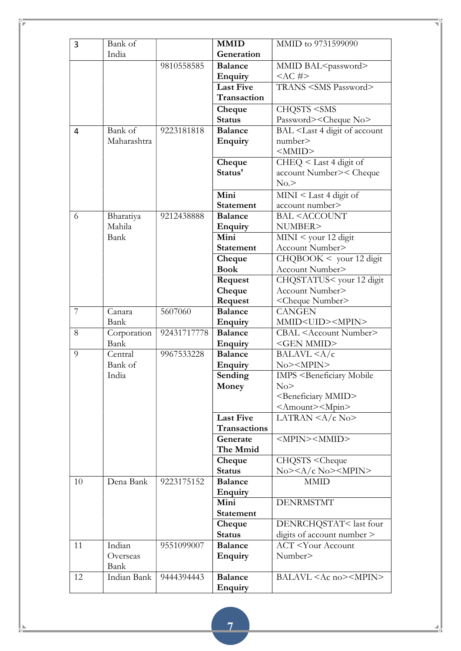| 3  | Bank of     |             | <b>MMID</b>         | MMID to 9731599090                                      |
|----|-------------|-------------|---------------------|---------------------------------------------------------|
|    | India       |             | Generation          |                                                         |
|    |             | 9810558585  | <b>Balance</b>      | MMID BAL <password></password>                          |
|    |             |             | <b>Enquiry</b>      | $<$ AC #>                                               |
|    |             |             | <b>Last Five</b>    | TRANS <sms password=""></sms>                           |
|    |             |             | Transaction         |                                                         |
|    |             |             | Cheque              | CHQSTS <sms< th=""></sms<>                              |
|    |             |             | <b>Status</b>       | Password> <cheque no=""></cheque>                       |
| 4  | Bank of     | 9223181818  | <b>Balance</b>      | BAL <last 4="" account<="" digit="" of="" th=""></last> |
|    | Maharashtra |             | Enquiry             | number>                                                 |
|    |             |             |                     | <mmid></mmid>                                           |
|    |             |             | Cheque              | CHEQ < Last 4 digit of                                  |
|    |             |             | Status'             | account Number>< Cheque                                 |
|    |             |             |                     | No.                                                     |
|    |             |             | Mini                | $MINI <$ Last 4 digit of                                |
|    |             |             | <b>Statement</b>    | account number>                                         |
| 6  | Bharatiya   | 9212438888  | <b>Balance</b>      | <b>BAL <account< b=""></account<></b>                   |
|    | Mahila      |             | <b>Enquiry</b>      | NUMBER>                                                 |
|    | Bank        |             | Mini                | $MINI <$ your 12 digit                                  |
|    |             |             | <b>Statement</b>    | Account Number>                                         |
|    |             |             | Cheque              | CHQBOOK < your 12 digit                                 |
|    |             |             | <b>Book</b>         | Account Number>                                         |
|    |             |             | Request             | CHQSTATUS< your 12 digit                                |
|    |             |             | Cheque              | Account Number>                                         |
|    |             |             | Request             | <cheque number=""></cheque>                             |
| 7  | Canara      | 5607060     | <b>Balance</b>      | <b>CANGEN</b>                                           |
|    | Bank        |             | <b>Enquiry</b>      | MMID <uid><mpin></mpin></uid>                           |
| 8  | Corporation | 92431717778 | <b>Balance</b>      | CBAL <account number=""></account>                      |
|    | Bank        |             | Enquiry             | <gen mmid=""></gen>                                     |
| 9  | Central     | 9967533228  | <b>Balance</b>      | BALAVL < A/c                                            |
|    | Bank of     |             | Enquiry             | No> <mpin></mpin>                                       |
|    | India       |             | Sending             | <b>IMPS <beneficiary b="" mobile<=""></beneficiary></b> |
|    |             |             | Money               | No                                                      |
|    |             |             |                     | <beneficiary mmid=""></beneficiary>                     |
|    |             |             |                     | <amount><mpin></mpin></amount>                          |
|    |             |             | <b>Last Five</b>    | LATRAN $\langle A/c \rangle$ No>                        |
|    |             |             | <b>Transactions</b> |                                                         |
|    |             |             | Generate            | <mpin><mmid></mmid></mpin>                              |
|    |             |             | The Mmid            |                                                         |
|    |             |             | Cheque              | CHQSTS <cheque< th=""></cheque<>                        |
|    |             |             | <b>Status</b>       | $No$ >< $A/c$ No>< $MPIN$ >                             |
| 10 | Dena Bank   | 9223175152  | <b>Balance</b>      | <b>MMID</b>                                             |
|    |             |             | <b>Enquiry</b>      |                                                         |
|    |             |             | Mini                | <b>DENRMSTMT</b>                                        |
|    |             |             | <b>Statement</b>    |                                                         |
|    |             |             | Cheque              | DENRCHQSTAT <last four<="" th=""></last>                |
|    |             |             | <b>Status</b>       | digits of account number >                              |
| 11 | Indian      | 9551099007  | <b>Balance</b>      | <b>ACT</b> <your account<="" th=""></your>              |
|    | Overseas    |             | <b>Enquiry</b>      | Number>                                                 |
|    | Bank        |             |                     |                                                         |
| 12 | Indian Bank | 9444394443  | <b>Balance</b>      | BALAVL <ac no=""><mpin></mpin></ac>                     |
|    |             |             | <b>Enquiry</b>      |                                                         |
|    |             |             |                     |                                                         |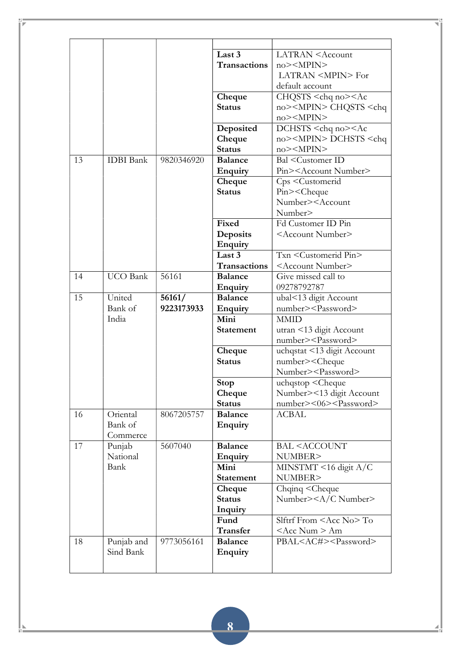|    |                  |            | Last 3              | <b>LATRAN</b> <account< th=""></account<>    |
|----|------------------|------------|---------------------|----------------------------------------------|
|    |                  |            | <b>Transactions</b> | $no$ > <mpin></mpin>                         |
|    |                  |            |                     | LATRAN <mpin> For</mpin>                     |
|    |                  |            |                     | default account                              |
|    |                  |            | Cheque              | $CHQSTS <$ chq no $><$ Ac                    |
|    |                  |            | <b>Status</b>       | no> <mpin> CHQSTS <chq< th=""></chq<></mpin> |
|    |                  |            |                     | $no \geq \leq MPIN \geq$                     |
|    |                  |            | Deposited           | DCHSTS <chq no=""><ac< th=""></ac<></chq>    |
|    |                  |            | Cheque              | no> <mpin> DCHSTS <chq< th=""></chq<></mpin> |
|    |                  |            | <b>Status</b>       | $no$ > <mpin></mpin>                         |
| 13 | <b>IDBI</b> Bank | 9820346920 | <b>Balance</b>      | Bal <customer id<="" th=""></customer>       |
|    |                  |            | <b>Enquiry</b>      | Pin> <account number=""></account>           |
|    |                  |            | Cheque              | Cps <customerid< th=""></customerid<>        |
|    |                  |            | <b>Status</b>       | Pin> <cheque< th=""></cheque<>               |
|    |                  |            |                     | Number> <account< th=""></account<>          |
|    |                  |            |                     | Number>                                      |
|    |                  |            | Fixed               | Fd Customer ID Pin                           |
|    |                  |            | Deposits            | <account number=""></account>                |
|    |                  |            | Enquiry             |                                              |
|    |                  |            | Last 3              | Txn <customerid pin=""></customerid>         |
|    |                  |            | <b>Transactions</b> | <account number=""></account>                |
| 14 | <b>UCO</b> Bank  | 56161      | <b>Balance</b>      | Give missed call to                          |
|    |                  |            | <b>Enquiry</b>      | 09278792787                                  |
| 15 | United           |            | <b>Balance</b>      |                                              |
|    |                  | 56161/     |                     | ubal<13 digit Account                        |
|    | Bank of          | 9223173933 | <b>Enquiry</b>      | number> <password></password>                |
|    | India            |            | Mini                | <b>MMID</b>                                  |
|    |                  |            | <b>Statement</b>    | utran <13 digit Account                      |
|    |                  |            |                     | number> <password></password>                |
|    |                  |            | Cheque              | uchqstat <13 digit Account                   |
|    |                  |            | <b>Status</b>       | number> <cheque< th=""></cheque<>            |
|    |                  |            |                     | Number> <password></password>                |
|    |                  |            | <b>Stop</b>         | uchqstop <cheque< th=""></cheque<>           |
|    |                  |            | Cheque              | Number><13 digit Account                     |
|    |                  |            | <b>Status</b>       | number><06> <password></password>            |
| 16 | Oriental         | 8067205757 | <b>Balance</b>      | <b>ACBAL</b>                                 |
|    | Bank of          |            | Enquiry             |                                              |
|    | Commerce         |            |                     |                                              |
| 17 | Punjab           | 5607040    | <b>Balance</b>      | <b>BAL <account< b=""></account<></b>        |
|    | National         |            | <b>Enquiry</b>      | NUMBER>                                      |
|    | Bank             |            | Mini                | MINSTMT <16 digit A/C                        |
|    |                  |            | <b>Statement</b>    | NUMBER>                                      |
|    |                  |            | Cheque              | Chqinq <cheque< th=""></cheque<>             |
|    |                  |            | <b>Status</b>       | Number> <a c="" number=""></a>               |
|    |                  |            | Inquiry             |                                              |
|    |                  |            | Fund                | Slftrf From $<$ Acc No $>$ To                |
|    |                  |            | Transfer            | <acc num=""> Am</acc>                        |
| 18 | Punjab and       | 9773056161 | <b>Balance</b>      | PBAL <ac#><password></password></ac#>        |
|    | Sind Bank        |            | Enquiry             |                                              |
|    |                  |            |                     |                                              |
|    |                  |            |                     |                                              |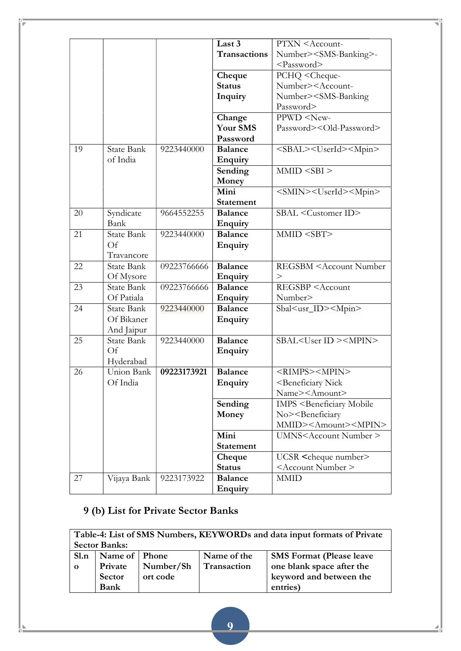|    |                   |             | Last 3                           | PTXN <account-< th=""></account-<>                      |
|----|-------------------|-------------|----------------------------------|---------------------------------------------------------|
|    |                   |             |                                  |                                                         |
|    |                   |             | <b>Transactions</b>              | Number> <sms-banking>-</sms-banking>                    |
|    |                   |             |                                  | <password></password>                                   |
|    |                   |             | Cheque                           | PCHQ <cheque-< th=""></cheque-<>                        |
|    |                   |             | <b>Status</b>                    | Number> <account-< th=""></account-<>                   |
|    |                   |             | Inquiry                          | Number> <sms-banking< th=""></sms-banking<>             |
|    |                   |             |                                  | Password>                                               |
|    |                   |             | Change                           | PPWD <new-< th=""></new-<>                              |
|    |                   |             | Your SMS                         | Password> <old-password></old-password>                 |
|    |                   |             | Password                         |                                                         |
| 19 | <b>State Bank</b> | 9223440000  | <b>Balance</b>                   | <sbal><userid><mpin></mpin></userid></sbal>             |
|    | of India          |             | <b>Enquiry</b>                   |                                                         |
|    |                   |             | Sending                          | MMD < SBI                                               |
|    |                   |             | Money                            |                                                         |
|    |                   |             | Mini                             | <smin><userid><mpin></mpin></userid></smin>             |
|    |                   |             | <b>Statement</b>                 |                                                         |
| 20 | Syndicate         | 9664552255  | <b>Balance</b>                   | SBAL <customer id=""></customer>                        |
|    | Bank              |             | <b>Enquiry</b>                   |                                                         |
| 21 | State Bank        | 9223440000  | <b>Balance</b>                   | MMID <sbt></sbt>                                        |
|    | <b>Of</b>         |             | Enquiry                          |                                                         |
|    | Travancore        |             |                                  |                                                         |
| 22 | State Bank        | 09223766666 | <b>Balance</b>                   | <b>REGSBM <account b="" number<=""></account></b>       |
|    | Of Mysore         |             | <b>Enquiry</b>                   | >                                                       |
| 23 | <b>State Bank</b> | 09223766666 | <b>Balance</b>                   | REGSBP <account< th=""></account<>                      |
|    | Of Patiala        |             |                                  | Number>                                                 |
|    | State Bank        | 9223440000  | <b>Enquiry</b><br><b>Balance</b> |                                                         |
| 24 |                   |             |                                  | Sbal <usr_id><mpin></mpin></usr_id>                     |
|    | Of Bikaner        |             | Enquiry                          |                                                         |
|    | And Jaipur        |             |                                  |                                                         |
| 25 | <b>State Bank</b> | 9223440000  | <b>Balance</b>                   | SBAL <user id=""><mpin></mpin></user>                   |
|    | Of                |             | <b>Enquiry</b>                   |                                                         |
|    | Hyderabad         |             |                                  |                                                         |
| 26 | Union Bank        | 09223173921 | <b>Balance</b>                   | <rimps><mpin></mpin></rimps>                            |
|    | Of India          |             | Enquiry                          | <beneficiary nick<="" th=""></beneficiary>              |
|    |                   |             |                                  | Name> <amount></amount>                                 |
|    |                   |             | Sending                          | <b>IMPS <beneficiary b="" mobile<=""></beneficiary></b> |
|    |                   |             | Money                            | No> <beneficiary< th=""></beneficiary<>                 |
|    |                   |             |                                  | MMID> <amount><mpin></mpin></amount>                    |
|    |                   |             | Mini                             | UMNS <account number=""></account>                      |
|    |                   |             | <b>Statement</b>                 |                                                         |
|    |                   |             | Cheque                           | UCSR <cheque number=""></cheque>                        |
|    |                   |             | <b>Status</b>                    | <account number=""></account>                           |
| 27 | Vijaya Bank       | 9223173922  | <b>Balance</b>                   | <b>MMID</b>                                             |
|    |                   |             | Enquiry                          |                                                         |

# 9 (b) List for Private Sector Banks

|                | Table-4: List of SMS Numbers, KEYWORDs and data input formats of Private |           |             |                                 |  |
|----------------|--------------------------------------------------------------------------|-----------|-------------|---------------------------------|--|
|                | <b>Sector Banks:</b>                                                     |           |             |                                 |  |
| S1.n           | Name of Phone                                                            |           | Name of the | <b>SMS Format (Please leave</b> |  |
| $\overline{0}$ | Private                                                                  | Number/Sh | Transaction | one blank space after the       |  |
|                | Sector                                                                   | ort code  |             | keyword and between the         |  |
|                | Bank                                                                     |           |             | entries)                        |  |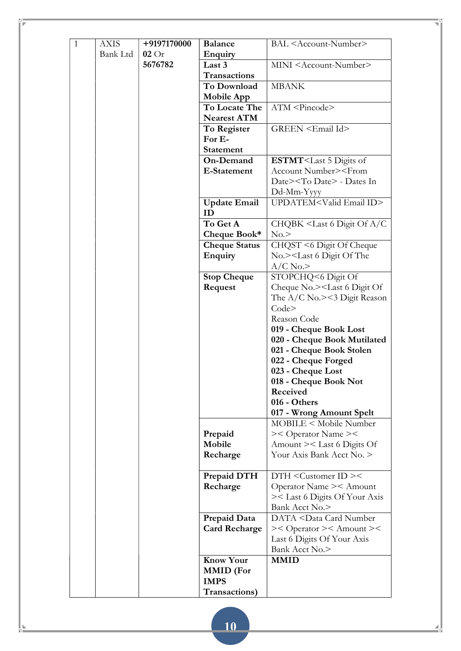| $\mathbf{1}$ | <b>AXIS</b>     | +9197170000 | <b>Balance</b>                  | BAL <account-number></account-number>                    |
|--------------|-----------------|-------------|---------------------------------|----------------------------------------------------------|
|              | <b>Bank Ltd</b> | 02Or        | <b>Enquiry</b>                  |                                                          |
|              |                 | 5676782     | Last 3                          | MINI <account-number></account-number>                   |
|              |                 |             | <b>Transactions</b>             |                                                          |
|              |                 |             | To Download                     | <b>MBANK</b>                                             |
|              |                 |             | <b>Mobile App</b>               |                                                          |
|              |                 |             | To Locate The                   | ATM <pincode></pincode>                                  |
|              |                 |             | <b>Nearest ATM</b>              |                                                          |
|              |                 |             | To Register                     | GREEN <email id=""></email>                              |
|              |                 |             | For E-                          |                                                          |
|              |                 |             | <b>Statement</b>                |                                                          |
|              |                 |             | On-Demand                       | ESTMT <last 5="" digits="" of<="" th=""></last>          |
|              |                 |             | E-Statement                     | Account Number> <from< th=""></from<>                    |
|              |                 |             |                                 | Date> <to date=""> - Dates In</to>                       |
|              |                 |             |                                 | Dd-Mm-Yyyy                                               |
|              |                 |             | <b>Update Email</b>             | UPDATEM <valid email="" id=""></valid>                   |
|              |                 |             | ID                              |                                                          |
|              |                 |             | To Get A                        | CHQBK <last 6="" a="" c<="" digit="" of="" th=""></last> |
|              |                 |             | Cheque Book*                    | No.                                                      |
|              |                 |             | <b>Cheque Status</b>            | CHQST <6 Digit Of Cheque                                 |
|              |                 |             | Enquiry                         | No.> <last 6="" digit="" of="" th="" the<=""></last>     |
|              |                 |             |                                 | $A/C$ No.>                                               |
|              |                 |             | <b>Stop Cheque</b>              | STOPCHQ<6 Digit Of                                       |
|              |                 |             | Request                         | Cheque No.> <last 6="" digit="" of<="" th=""></last>     |
|              |                 |             |                                 | The $A/C$ No.><3 Digit Reason                            |
|              |                 |             |                                 | Code <sub>2</sub>                                        |
|              |                 |             |                                 | Reason Code                                              |
|              |                 |             |                                 | 019 - Cheque Book Lost                                   |
|              |                 |             |                                 | 020 - Cheque Book Mutilated                              |
|              |                 |             |                                 | 021 - Cheque Book Stolen                                 |
|              |                 |             |                                 | 022 - Cheque Forged                                      |
|              |                 |             |                                 | 023 - Cheque Lost                                        |
|              |                 |             |                                 | 018 - Cheque Book Not                                    |
|              |                 |             |                                 | Received                                                 |
|              |                 |             |                                 | 016 - Others                                             |
|              |                 |             |                                 | 017 - Wrong Amount Spelt                                 |
|              |                 |             |                                 | MOBILE < Mobile Number                                   |
|              |                 |             | Prepaid<br>Mobile               | >< Operator Name ><<br>Amount >< Last 6 Digits Of        |
|              |                 |             | Recharge                        | Your Axis Bank Acct No. >                                |
|              |                 |             |                                 |                                                          |
|              |                 |             | Prepaid DTH                     | $DTH <$ Customer $ID <$                                  |
|              |                 |             | Recharge                        | Operator Name >< Amount                                  |
|              |                 |             |                                 | >< Last 6 Digits Of Your Axis                            |
|              |                 |             |                                 | Bank Acct No.>                                           |
|              |                 |             | Prepaid Data                    | DATA <data card="" number<="" th=""></data>              |
|              |                 |             | <b>Card Recharge</b>            | >< Operator >< Amount ><                                 |
|              |                 |             |                                 | Last 6 Digits Of Your Axis                               |
|              |                 |             |                                 | Bank Acct No.>                                           |
|              |                 |             |                                 |                                                          |
|              |                 |             |                                 | <b>MMID</b>                                              |
|              |                 |             | <b>Know Your</b>                |                                                          |
|              |                 |             | <b>MMID</b> (For<br><b>IMPS</b> |                                                          |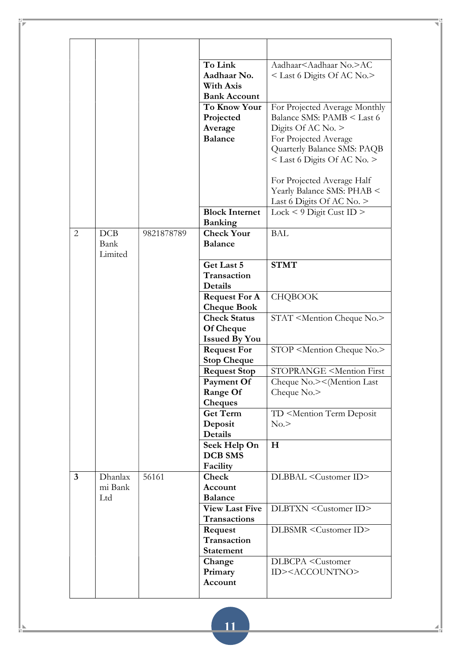|                |         |            | To Link                                 | Aadhaar <aadhaar no.="">AC</aadhaar>                |
|----------------|---------|------------|-----------------------------------------|-----------------------------------------------------|
|                |         |            | Aadhaar No.                             | < Last 6 Digits Of AC No.>                          |
|                |         |            | <b>With Axis</b>                        |                                                     |
|                |         |            | <b>Bank Account</b>                     |                                                     |
|                |         |            | To Know Your                            | For Projected Average Monthly                       |
|                |         |            | Projected                               | Balance SMS: PAMB < Last 6                          |
|                |         |            | Average                                 | Digits Of AC No. $>$                                |
|                |         |            | <b>Balance</b>                          | For Projected Average                               |
|                |         |            |                                         | Quarterly Balance SMS: PAQB                         |
|                |         |            |                                         | $<$ Last 6 Digits Of AC No. $>$                     |
|                |         |            |                                         | For Projected Average Half                          |
|                |         |            |                                         | Yearly Balance SMS: PHAB <                          |
|                |         |            |                                         | Last 6 Digits Of AC No. $>$                         |
|                |         |            | <b>Block Internet</b><br><b>Banking</b> | $Lock < 9$ Digit Cust ID >                          |
| 2              | DCB     | 9821878789 | <b>Check Your</b>                       | <b>BAL</b>                                          |
|                | Bank    |            | <b>Balance</b>                          |                                                     |
|                | Limited |            |                                         |                                                     |
|                |         |            | Get Last 5                              | <b>STMT</b>                                         |
|                |         |            | Transaction                             |                                                     |
|                |         |            | Details                                 |                                                     |
|                |         |            | <b>Request For A</b>                    | <b>CHQBOOK</b>                                      |
|                |         |            | <b>Cheque Book</b>                      |                                                     |
|                |         |            | <b>Check Status</b>                     | STAT <mention cheque="" no.=""></mention>           |
|                |         |            | <b>Of Cheque</b>                        |                                                     |
|                |         |            | <b>Issued By You</b>                    |                                                     |
|                |         |            | <b>Request For</b>                      | STOP <mention cheque="" no.=""></mention>           |
|                |         |            | <b>Stop Cheque</b>                      |                                                     |
|                |         |            | <b>Request Stop</b>                     | <b>STOPRANGE <mention b="" first<=""></mention></b> |
|                |         |            | Payment Of                              | Cheque No.><(Mention Last                           |
|                |         |            | Range Of                                | Cheque No.>                                         |
|                |         |            | <b>Cheques</b>                          |                                                     |
|                |         |            | <b>Get Term</b>                         | TD <mention deposit<="" td="" term=""></mention>    |
|                |         |            | Deposit                                 | No.                                                 |
|                |         |            | Details                                 |                                                     |
|                |         |            | Seek Help On                            | H                                                   |
|                |         |            | <b>DCB SMS</b>                          |                                                     |
|                |         |            | Facility                                |                                                     |
| $\overline{3}$ | Dhanlax | 56161      | Check                                   | DLBBAL <customer id=""></customer>                  |
|                | mi Bank |            | Account                                 |                                                     |
|                | Ltd     |            | <b>Balance</b>                          |                                                     |
|                |         |            | <b>View Last Five</b>                   | DLBTXN <customer id=""></customer>                  |
|                |         |            | Transactions                            |                                                     |
|                |         |            | Request                                 | DLBSMR <customer id=""></customer>                  |
|                |         |            | Transaction                             |                                                     |
|                |         |            | <b>Statement</b>                        |                                                     |
|                |         |            | Change                                  | DLBCPA <customer< td=""></customer<>                |
|                |         |            | Primary                                 | ID> <accountno></accountno>                         |
|                |         |            | Account                                 |                                                     |
|                |         |            |                                         |                                                     |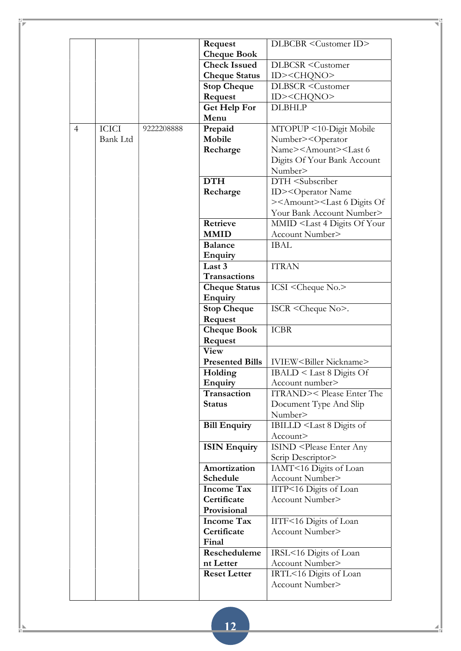|                |                 |            |                          | DLBCBR <customer id=""></customer>                           |
|----------------|-----------------|------------|--------------------------|--------------------------------------------------------------|
|                |                 |            | Request                  |                                                              |
|                |                 |            | <b>Cheque Book</b>       |                                                              |
|                |                 |            | <b>Check Issued</b>      | <b>DLBCSR</b> <customer< th=""></customer<>                  |
|                |                 |            | <b>Cheque Status</b>     | ID> <chqno></chqno>                                          |
|                |                 |            | <b>Stop Cheque</b>       | <b>DLBSCR</b> <customer< th=""></customer<>                  |
|                |                 |            | Request                  | ID> <chqno></chqno>                                          |
|                |                 |            | <b>Get Help For</b>      | <b>DLBHLP</b>                                                |
|                |                 |            | Menu                     |                                                              |
| $\overline{4}$ | <b>ICICI</b>    | 9222208888 | Prepaid                  | MTOPUP <10-Digit Mobile                                      |
|                | <b>Bank Ltd</b> |            | Mobile                   | Number> <operator< th=""></operator<>                        |
|                |                 |            | Recharge                 | Name> <amount><last 6<="" th=""></last></amount>             |
|                |                 |            |                          | Digits Of Your Bank Account                                  |
|                |                 |            |                          | Number>                                                      |
|                |                 |            | <b>DTH</b>               | DTH <subscriber< th=""></subscriber<>                        |
|                |                 |            | Recharge                 | ID> <operator name<="" th=""></operator>                     |
|                |                 |            |                          | > <amount><last 6="" digits="" of<="" th=""></last></amount> |
|                |                 |            |                          | Your Bank Account Number>                                    |
|                |                 |            | Retrieve                 | MMID <last 4="" digits="" of="" th="" your<=""></last>       |
|                |                 |            | <b>MMID</b>              | Account Number>                                              |
|                |                 |            | <b>Balance</b>           | <b>IBAL</b>                                                  |
|                |                 |            |                          |                                                              |
|                |                 |            | <b>Enquiry</b><br>Last 3 | <b>ITRAN</b>                                                 |
|                |                 |            |                          |                                                              |
|                |                 |            | Transactions             |                                                              |
|                |                 |            | <b>Cheque Status</b>     | ICSI <cheque no.=""></cheque>                                |
|                |                 |            | Enquiry                  |                                                              |
|                |                 |            | <b>Stop Cheque</b>       | ISCR <cheque no="">.</cheque>                                |
|                |                 |            | Request                  |                                                              |
|                |                 |            | <b>Cheque Book</b>       | <b>ICBR</b>                                                  |
|                |                 |            | Request                  |                                                              |
|                |                 |            | <b>View</b>              |                                                              |
|                |                 |            | <b>Presented Bills</b>   | IVIEW <biller nickname=""></biller>                          |
|                |                 |            | Holding                  | $IBALD <$ Last 8 Digits Of                                   |
|                |                 |            | <b>Enquiry</b>           | Account number>                                              |
|                |                 |            | Transaction              | ITRAND>< Please Enter The                                    |
|                |                 |            | <b>Status</b>            | Document Type And Slip                                       |
|                |                 |            |                          | Number>                                                      |
|                |                 |            | <b>Bill Enquiry</b>      | IBILLD <last 8="" digits="" of<="" th=""></last>             |
|                |                 |            |                          | Account>                                                     |
|                |                 |            | <b>ISIN Enquiry</b>      | <b>ISIND <please any<="" b="" enter=""></please></b>         |
|                |                 |            |                          | Scrip Descriptor>                                            |
|                |                 |            | Amortization             | IAMT<16 Digits of Loan                                       |
|                |                 |            | Schedule                 | Account Number>                                              |
|                |                 |            | <b>Income Tax</b>        | IITP<16 Digits of Loan                                       |
|                |                 |            | Certificate              | Account Number>                                              |
|                |                 |            | Provisional              |                                                              |
|                |                 |            | <b>Income Tax</b>        |                                                              |
|                |                 |            | Certificate              | IITF<16 Digits of Loan<br>Account Number>                    |
|                |                 |            |                          |                                                              |
|                |                 |            | Final                    |                                                              |
|                |                 |            | Rescheduleme             | IRSL<16 Digits of Loan                                       |
|                |                 |            | nt Letter                | Account Number>                                              |
|                |                 |            | <b>Reset Letter</b>      | IRTL<16 Digits of Loan                                       |
|                |                 |            |                          | Account Number>                                              |
|                |                 |            |                          |                                                              |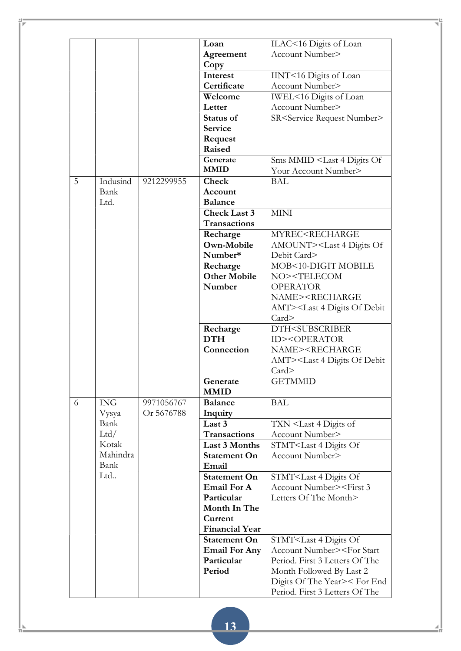|   |            |            | Loan                   | ILAC<16 Digits of Loan                                  |
|---|------------|------------|------------------------|---------------------------------------------------------|
|   |            |            | Agreement              | Account Number>                                         |
|   |            |            | Copy                   |                                                         |
|   |            |            | Interest               | IINT<16 Digits of Loan                                  |
|   |            |            | Certificate            | Account Number>                                         |
|   |            |            | Welcome                | IWEL<16 Digits of Loan                                  |
|   |            |            | Letter                 | Account Number>                                         |
|   |            |            | <b>Status of</b>       | SR <service number="" request=""></service>             |
|   |            |            | Service                |                                                         |
|   |            |            | Request                |                                                         |
|   |            |            | Raised                 |                                                         |
|   |            |            | Generate               | Sms MMID <last 4="" digits="" of<="" th=""></last>      |
|   |            |            | <b>MMID</b>            | Your Account Number>                                    |
|   |            |            |                        |                                                         |
| 5 | Indusind   | 9212299955 | Check                  | <b>BAL</b>                                              |
|   | Bank       |            | Account                |                                                         |
|   | Ltd.       |            | <b>Balance</b>         |                                                         |
|   |            |            | <b>Check Last 3</b>    | <b>MINI</b>                                             |
|   |            |            | <b>Transactions</b>    |                                                         |
|   |            |            | Recharge               | MYREC <recharge< th=""></recharge<>                     |
|   |            |            | Own-Mobile             | AMOUNT> <last 4="" digits="" of<="" th=""></last>       |
|   |            |            | Number*                | Debit Card>                                             |
|   |            |            | Recharge               | MOB<10-DIGIT MOBILE                                     |
|   |            |            | <b>Other Mobile</b>    | NO> <telecom< th=""></telecom<>                         |
|   |            |            | Number                 | <b>OPERATOR</b>                                         |
|   |            |            |                        | NAME> <recharge< th=""></recharge<>                     |
|   |            |            |                        | AMT> <last 4="" debit<="" digits="" of="" th=""></last> |
|   |            |            |                        | Card                                                    |
|   |            |            |                        |                                                         |
|   |            |            | Recharge<br><b>DTH</b> | DTH <subscriber< th=""></subscriber<>                   |
|   |            |            |                        | <b>ID&gt;<operator< b=""></operator<></b>               |
|   |            |            | Connection             | NAME> <recharge< th=""></recharge<>                     |
|   |            |            |                        | AMT> <last 4="" debit<="" digits="" of="" th=""></last> |
|   |            |            |                        | Card                                                    |
|   |            |            | Generate               | <b>GETMMID</b>                                          |
|   |            |            | <b>MMID</b>            |                                                         |
| 6 | <b>ING</b> | 9971056767 | <b>Balance</b>         | <b>BAL</b>                                              |
|   | Vysya      | Or 5676788 | Inquiry                |                                                         |
|   | Bank       |            | Last 3                 | TXN <last 4="" digits="" of<="" th=""></last>           |
|   | Ltd/       |            | Transactions           | Account Number>                                         |
|   | Kotak      |            | Last 3 Months          | STMT <last 4="" digits="" of<="" th=""></last>          |
|   | Mahindra   |            | <b>Statement On</b>    | Account Number>                                         |
|   | Bank       |            | Email                  |                                                         |
|   | Ltd        |            | <b>Statement On</b>    | STMT <last 4="" digits="" of<="" th=""></last>          |
|   |            |            | <b>Email For A</b>     | Account Number> <first 3<="" th=""></first>             |
|   |            |            | Particular             | Letters Of The Month>                                   |
|   |            |            | Month In The           |                                                         |
|   |            |            |                        |                                                         |
|   |            |            | Current                |                                                         |
|   |            |            | <b>Financial Year</b>  |                                                         |
|   |            |            | <b>Statement On</b>    | STMT <last 4="" digits="" of<="" th=""></last>          |
|   |            |            | <b>Email For Any</b>   | Account Number> <for start<="" th=""></for>             |
|   |            |            | Particular             | Period. First 3 Letters Of The                          |
|   |            |            | Period                 | Month Followed By Last 2                                |
|   |            |            |                        | Digits Of The Year>< For End                            |
|   |            |            |                        | Period. First 3 Letters Of The                          |
|   |            |            |                        |                                                         |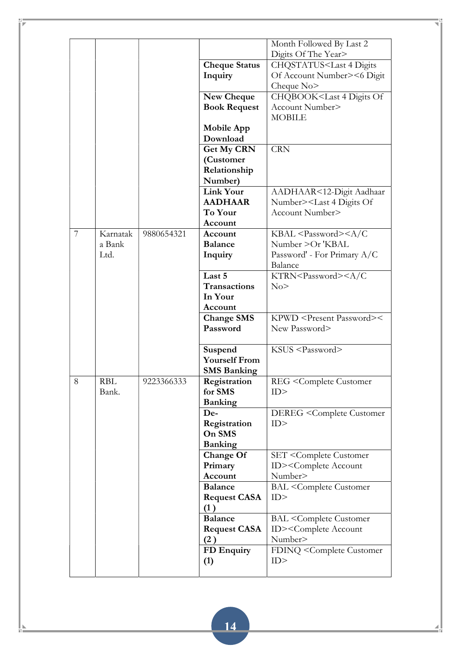|   |          |            |                      | Month Followed By Last 2                            |
|---|----------|------------|----------------------|-----------------------------------------------------|
|   |          |            |                      | Digits Of The Year>                                 |
|   |          |            | <b>Cheque Status</b> | CHQSTATUS <last 4="" digits<="" th=""></last>       |
|   |          |            | Inquiry              | Of Account Number><6 Digit                          |
|   |          |            |                      | Cheque No>                                          |
|   |          |            | New Cheque           | CHQBOOK <last 4="" digits="" of<="" th=""></last>   |
|   |          |            | <b>Book Request</b>  | Account Number>                                     |
|   |          |            |                      | <b>MOBILE</b>                                       |
|   |          |            | Mobile App           |                                                     |
|   |          |            | Download             |                                                     |
|   |          |            |                      | <b>CRN</b>                                          |
|   |          |            | <b>Get My CRN</b>    |                                                     |
|   |          |            | (Customer            |                                                     |
|   |          |            | Relationship         |                                                     |
|   |          |            | Number)              |                                                     |
|   |          |            | <b>Link Your</b>     | AADHAAR<12-Digit Aadhaar                            |
|   |          |            | <b>AADHAAR</b>       | Number> <last 4="" digits="" of<="" th=""></last>   |
|   |          |            | To Your              | Account Number>                                     |
|   |          |            | Account              |                                                     |
| 7 | Karnatak | 9880654321 | Account              | $KBAL <$ Password> $\leq$ A/C                       |
|   | a Bank   |            | <b>Balance</b>       | Number > Or 'KBAL                                   |
|   | Ltd.     |            | Inquiry              | Password' - For Primary A/C                         |
|   |          |            |                      | Balance                                             |
|   |          |            | Last 5               | KTRN <password><a c<="" th=""></a></password>       |
|   |          |            | Transactions         | No                                                  |
|   |          |            | In Your              |                                                     |
|   |          |            | Account              |                                                     |
|   |          |            | <b>Change SMS</b>    | KPWD <present password="">&lt;</present>            |
|   |          |            | Password             | New Password>                                       |
|   |          |            |                      |                                                     |
|   |          |            | Suspend              | KSUS <password></password>                          |
|   |          |            | <b>Yourself From</b> |                                                     |
|   |          |            |                      |                                                     |
|   |          |            | <b>SMS Banking</b>   |                                                     |
| 8 | RBL      | 9223366333 | Registration         | REG <complete customer<="" th=""></complete>        |
|   | Bank.    |            | for SMS              | ID                                                  |
|   |          |            | <b>Banking</b>       |                                                     |
|   |          |            | De-                  | DEREG <complete customer<="" th=""></complete>      |
|   |          |            | Registration         | ID                                                  |
|   |          |            | On SMS               |                                                     |
|   |          |            | <b>Banking</b>       |                                                     |
|   |          |            | <b>Change Of</b>     | <b>SET <complete b="" customer<=""></complete></b>  |
|   |          |            | Primary              | ID> <complete account<="" th=""></complete>         |
|   |          |            | Account              | Number>                                             |
|   |          |            | <b>Balance</b>       | <b>BAL</b> <complete customer<="" th=""></complete> |
|   |          |            | <b>Request CASA</b>  | ID                                                  |
|   |          |            | (1)                  |                                                     |
|   |          |            | <b>Balance</b>       | <b>BAL</b> <complete customer<="" th=""></complete> |
|   |          |            | <b>Request CASA</b>  | ID> <complete account<="" th=""></complete>         |
|   |          |            | (2)                  | Number>                                             |
|   |          |            | FD Enquiry           | FDINQ <complete customer<="" th=""></complete>      |
|   |          |            |                      | ID                                                  |
|   |          |            | (1)                  |                                                     |
|   |          |            |                      |                                                     |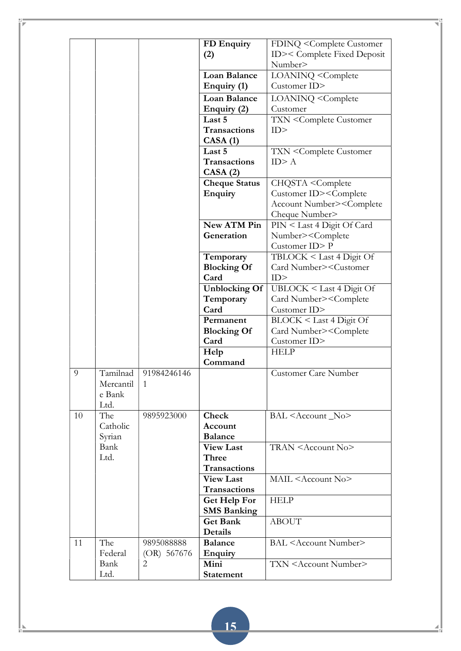|    |                                         |                             | FD Enquiry           | FDINQ <complete customer<="" th=""></complete>     |
|----|-----------------------------------------|-----------------------------|----------------------|----------------------------------------------------|
|    |                                         |                             | (2)                  | ID>< Complete Fixed Deposit                        |
|    |                                         |                             |                      | Number>                                            |
|    |                                         |                             | <b>Loan Balance</b>  | LOANINQ <complete< th=""></complete<>              |
|    |                                         |                             | Enquiry (1)          | Customer ID>                                       |
|    |                                         |                             | <b>Loan Balance</b>  | LOANINQ <complete< th=""></complete<>              |
|    |                                         |                             | Enquiry (2)          | Customer                                           |
|    |                                         |                             | Last 5               | <b>TXN <complete b="" customer<=""></complete></b> |
|    |                                         |                             | Transactions         | ID                                                 |
|    |                                         |                             | CASA(1)              |                                                    |
|    |                                         |                             | Last 5               | <b>TXN <complete b="" customer<=""></complete></b> |
|    |                                         |                             | <b>Transactions</b>  | ID > A                                             |
|    |                                         |                             | CASA(2)              |                                                    |
|    |                                         |                             | <b>Cheque Status</b> | CHQSTA <complete< th=""></complete<>               |
|    |                                         |                             | <b>Enquiry</b>       | Customer ID> <complete< th=""></complete<>         |
|    |                                         |                             |                      | Account Number> <complete< th=""></complete<>      |
|    |                                         |                             |                      | Cheque Number>                                     |
|    |                                         |                             | New ATM Pin          | PIN < Last 4 Digit Of Card                         |
|    |                                         |                             | Generation           | Number> <complete< th=""></complete<>              |
|    |                                         |                             |                      | Customer ID>P                                      |
|    |                                         |                             | Temporary            | TBLOCK < Last 4 Digit Of                           |
|    |                                         |                             | <b>Blocking Of</b>   | Card Number> <customer< th=""></customer<>         |
|    |                                         |                             | Card                 | ID                                                 |
|    |                                         |                             | <b>Unblocking Of</b> | UBLOCK < Last 4 Digit Of                           |
|    |                                         |                             | Temporary            | Card Number> <complete< th=""></complete<>         |
|    |                                         |                             | Card                 | Customer ID>                                       |
|    |                                         |                             | Permanent            | BLOCK < Last 4 Digit Of                            |
|    |                                         |                             | <b>Blocking Of</b>   | Card Number> <complete< th=""></complete<>         |
|    |                                         |                             | Card                 | Customer ID>                                       |
|    |                                         |                             | Help                 | <b>HELP</b>                                        |
|    |                                         |                             | Command              |                                                    |
| 9  | Tamilnad<br>Mercantil<br>e Bank<br>Ltd. | 91984246146<br>$\mathbf{1}$ |                      | Customer Care Number                               |
| 10 | The                                     | 9895923000                  | <b>Check</b>         | BAL <account _no=""></account>                     |
|    | Catholic                                |                             | Account              |                                                    |
|    | Syrian                                  |                             | <b>Balance</b>       |                                                    |
|    | Bank                                    |                             | <b>View Last</b>     | TRAN <account no=""></account>                     |
|    | Ltd.                                    |                             | Three                |                                                    |
|    |                                         |                             | <b>Transactions</b>  |                                                    |
|    |                                         |                             | <b>View Last</b>     | MAIL <account no=""></account>                     |
|    |                                         |                             | <b>Transactions</b>  |                                                    |
|    |                                         |                             | Get Help For         | <b>HELP</b>                                        |
|    |                                         |                             | <b>SMS Banking</b>   |                                                    |
|    |                                         |                             | <b>Get Bank</b>      | <b>ABOUT</b>                                       |
|    |                                         |                             | Details              |                                                    |
| 11 | The                                     | 9895088888                  | <b>Balance</b>       | <b>BAL</b> <account number=""></account>           |
|    | Federal                                 | $(OR)$ 567676               | Enquiry              |                                                    |
|    | Bank                                    | 2                           | Mini                 | TXN <account number=""></account>                  |
|    | Ltd.                                    |                             | <b>Statement</b>     |                                                    |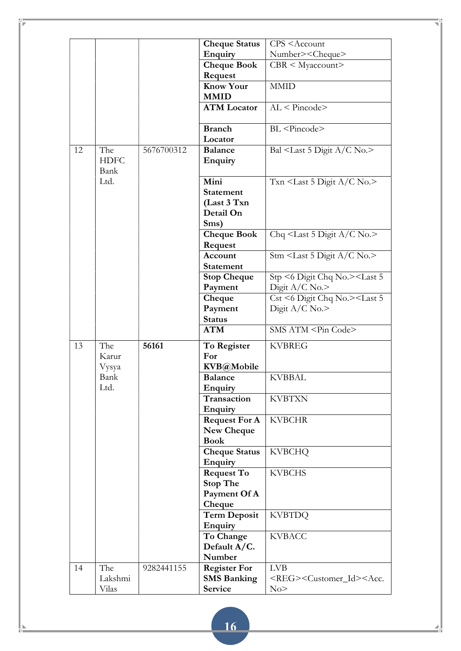|    |                            |            | <b>Cheque Status</b>                  | CPS <account< th=""></account<>                             |
|----|----------------------------|------------|---------------------------------------|-------------------------------------------------------------|
|    |                            |            | Enquiry                               | Number> <cheque></cheque>                                   |
|    |                            |            | <b>Cheque Book</b>                    | $CBR <$ Myaccount>                                          |
|    |                            |            | Request                               |                                                             |
|    |                            |            | <b>Know Your</b>                      | <b>MMID</b>                                                 |
|    |                            |            | <b>MMID</b>                           |                                                             |
|    |                            |            | <b>ATM</b> Locator                    | $AL <$ Pincode>                                             |
|    |                            |            | <b>Branch</b>                         | BL <pincode></pincode>                                      |
|    |                            |            | Locator                               |                                                             |
| 12 | The<br><b>HDFC</b><br>Bank | 5676700312 | <b>Balance</b><br><b>Enquiry</b>      | Bal $\le$ Last 5 Digit A/C No.>                             |
|    | Ltd.                       |            | Mini<br><b>Statement</b>              | Txn <last 5="" a="" c="" digit="" no.=""></last>            |
|    |                            |            | (Last 3 Txn                           |                                                             |
|    |                            |            | Detail On                             |                                                             |
|    |                            |            |                                       |                                                             |
|    |                            |            | Sms)                                  |                                                             |
|    |                            |            | <b>Cheque Book</b><br>Request         | Chq <last 5="" a="" c="" digit="" no.=""></last>            |
|    |                            |            | Account                               | Stm <last 5="" a="" c="" digit="" no.=""></last>            |
|    |                            |            | <b>Statement</b>                      |                                                             |
|    |                            |            | <b>Stop Cheque</b>                    | Stp <6 Digit Chq No.> <last 5<="" th=""></last>             |
|    |                            |            | Payment                               | Digit $A/C$ No.>                                            |
|    |                            |            | Cheque                                | Cst <6 Digit Chq No.> <last 5<="" th=""></last>             |
|    |                            |            | Payment                               | Digit $A/C$ No.>                                            |
|    |                            |            | <b>Status</b>                         |                                                             |
|    |                            |            | <b>ATM</b>                            | SMS ATM <pin code=""></pin>                                 |
|    |                            |            |                                       |                                                             |
| 13 | The<br>Karur               | 56161      | To Register<br>For                    | <b>KVBREG</b>                                               |
|    |                            |            | KVB@Mobile                            |                                                             |
|    | Vysya<br>Bank              |            |                                       | <b>KVBBAL</b>                                               |
|    | Ltd.                       |            | <b>Balance</b>                        |                                                             |
|    |                            |            | <b>Enquiry</b><br>Transaction         |                                                             |
|    |                            |            | Enquiry                               | <b>KVBTXN</b>                                               |
|    |                            |            | <b>Request For A</b>                  | <b>KVBCHR</b>                                               |
|    |                            |            | New Cheque                            |                                                             |
|    |                            |            | <b>Book</b>                           |                                                             |
|    |                            |            | <b>Cheque Status</b>                  | <b>KVBCHQ</b>                                               |
|    |                            |            |                                       |                                                             |
|    |                            |            | Enquiry                               | <b>KVBCHS</b>                                               |
|    |                            |            | <b>Request To</b>                     |                                                             |
|    |                            |            | <b>Stop The</b>                       |                                                             |
|    |                            |            | Payment Of A<br>Cheque                |                                                             |
|    |                            |            |                                       |                                                             |
|    |                            |            | <b>Term Deposit</b><br><b>Enquiry</b> | <b>KVBTDQ</b>                                               |
|    |                            |            | To Change                             | <b>KVBACC</b>                                               |
|    |                            |            | Default A/C.                          |                                                             |
|    |                            |            | Number                                |                                                             |
| 14 | The                        | 9282441155 | <b>Register For</b>                   | <b>LVB</b>                                                  |
|    |                            |            |                                       |                                                             |
|    |                            |            |                                       |                                                             |
|    | Lakshmi<br>Vilas           |            | <b>SMS Banking</b><br>Service         | <reg><customer_id><acc.<br>No</acc.<br></customer_id></reg> |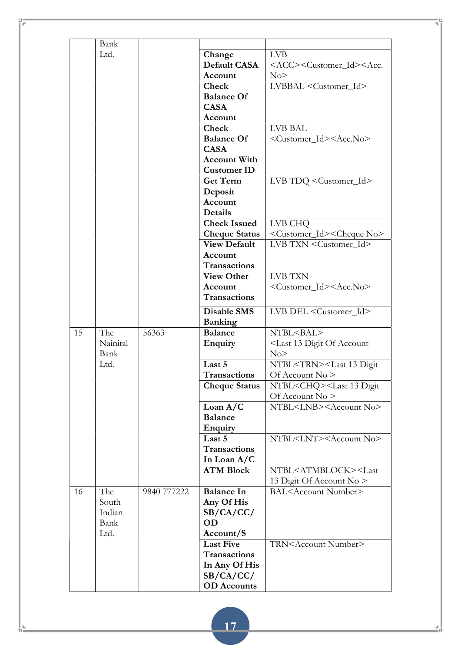|    | Bank     |             |                      |                                                             |
|----|----------|-------------|----------------------|-------------------------------------------------------------|
|    | Ltd.     |             | Change               | <b>LVB</b>                                                  |
|    |          |             | Default CASA         | <acc><customer_id><acc.< th=""></acc.<></customer_id></acc> |
|    |          |             | Account              | No                                                          |
|    |          |             | Check                | LVBBAL <customer_id></customer_id>                          |
|    |          |             | <b>Balance Of</b>    |                                                             |
|    |          |             | <b>CASA</b>          |                                                             |
|    |          |             | Account              |                                                             |
|    |          |             | Check                | <b>LVB BAL</b>                                              |
|    |          |             | <b>Balance Of</b>    | <customer_id><acc.no></acc.no></customer_id>                |
|    |          |             | <b>CASA</b>          |                                                             |
|    |          |             | <b>Account With</b>  |                                                             |
|    |          |             | <b>Customer ID</b>   |                                                             |
|    |          |             | <b>Get Term</b>      | LVB TDQ <customer_id></customer_id>                         |
|    |          |             | Deposit              |                                                             |
|    |          |             | Account              |                                                             |
|    |          |             | Details              |                                                             |
|    |          |             | <b>Check Issued</b>  | LVB CHQ                                                     |
|    |          |             | <b>Cheque Status</b> | <customer_id><cheque no=""></cheque></customer_id>          |
|    |          |             | <b>View Default</b>  | LVB TXN <customer id=""></customer>                         |
|    |          |             | Account              |                                                             |
|    |          |             | Transactions         |                                                             |
|    |          |             |                      | <b>LVB TXN</b>                                              |
|    |          |             | <b>View Other</b>    |                                                             |
|    |          |             | Account              | <customer_id><acc.no></acc.no></customer_id>                |
|    |          |             | <b>Transactions</b>  |                                                             |
|    |          |             | <b>Disable SMS</b>   | LVB DEL <customer_id></customer_id>                         |
|    |          |             | <b>Banking</b>       |                                                             |
| 15 | The      | 56363       | <b>Balance</b>       | NTBL <bal></bal>                                            |
|    | Nainital |             | <b>Enquiry</b>       | <last 13="" account<="" digit="" of="" th=""></last>        |
|    | Bank     |             |                      | No                                                          |
|    | Ltd.     |             | Last 5               | NTBL <trn><last 13="" digit<="" th=""></last></trn>         |
|    |          |             | <b>Transactions</b>  | Of Account $No$ >                                           |
|    |          |             | <b>Cheque Status</b> | NTBL <chq><last 13="" digit<="" th=""></last></chq>         |
|    |          |             |                      | Of Account No >                                             |
|    |          |             | Loan $A/C$           | NTBL <lnb><account no=""></account></lnb>                   |
|    |          |             | <b>Balance</b>       |                                                             |
|    |          |             | <b>Enquiry</b>       |                                                             |
|    |          |             | Last 5               | NTBL <lnt><account no=""></account></lnt>                   |
|    |          |             | <b>Transactions</b>  |                                                             |
|    |          |             | In Loan A/C          |                                                             |
|    |          |             | <b>ATM Block</b>     | NTBL <atmblock><last< th=""></last<></atmblock>             |
|    |          |             |                      | 13 Digit Of Account No >                                    |
| 16 | The      | 9840 777222 | <b>Balance In</b>    | BAL <account number=""></account>                           |
|    | South    |             | Any Of His           |                                                             |
|    | Indian   |             | SB/CA/CC/            |                                                             |
|    | Bank     |             | <b>OD</b>            |                                                             |
|    | Ltd.     |             | Account/S            |                                                             |
|    |          |             | <b>Last Five</b>     | TRN <account number=""></account>                           |
|    |          |             | <b>Transactions</b>  |                                                             |
|    |          |             | In Any Of His        |                                                             |
|    |          |             | SB/CA/CC/            |                                                             |
|    |          |             | <b>OD</b> Accounts   |                                                             |
|    |          |             |                      |                                                             |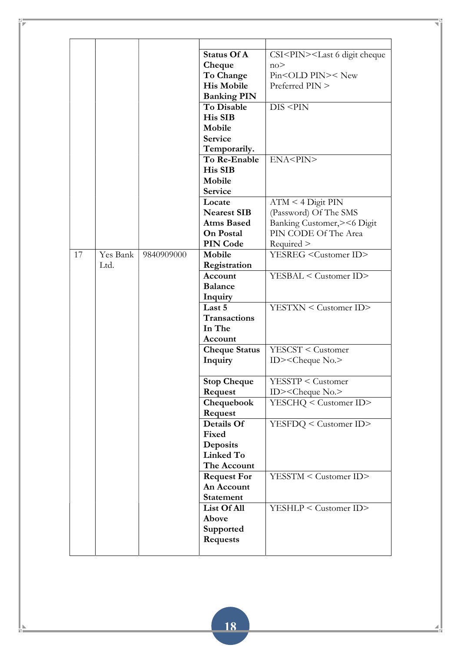|    |                  |            | <b>Status Of A</b><br>Cheque<br>To Change<br><b>His Mobile</b><br><b>Banking PIN</b>     | CSI <pin><last 6="" cheque<br="" digit="">no<sub>2</sub><br/>Pin<old pin="">&lt; New<br/>Preferred PIN &gt;</old></last></pin> |
|----|------------------|------------|------------------------------------------------------------------------------------------|--------------------------------------------------------------------------------------------------------------------------------|
|    |                  |            | <b>To Disable</b><br><b>His SIB</b><br>Mobile<br><b>Service</b><br>Temporarily.          | DIS < PIN                                                                                                                      |
|    |                  |            | To Re-Enable<br>His SIB<br>Mobile<br>Service                                             | ENA <pin></pin>                                                                                                                |
|    |                  |            | Locate<br><b>Nearest SIB</b><br><b>Atms Based</b><br><b>On Postal</b><br><b>PIN Code</b> | $ATM < 4$ Digit PIN<br>(Password) Of The SMS<br>Banking Customer, >< 6 Digit<br>PIN CODE Of The Area<br>Required               |
| 17 | Yes Bank<br>Ltd. | 9840909000 | Mobile<br>Registration<br>Account<br><b>Balance</b><br>Inquiry                           | YESREG <customer id=""><br/>YESBAL &lt; Customer ID&gt;</customer>                                                             |
|    |                  |            | Last 5<br><b>Transactions</b><br>In The<br>Account                                       | YESTXN < Customer ID>                                                                                                          |
|    |                  |            | <b>Cheque Status</b><br>Inquiry                                                          | $YESCST <$ Customer<br>ID $><$ Cheque No. $>$                                                                                  |
|    |                  |            | <b>Stop Cheque</b><br>Request<br>Chequebook                                              | <b>YESSTP &lt; Customer</b><br>$ID$ >< $Cheque$ No.><br>YESCHQ < Customer ID>                                                  |
|    |                  |            | Request<br>Details Of<br>Fixed<br>Deposits<br>Linked To                                  | YESFDQ < Customer ID>                                                                                                          |
|    |                  |            | The Account<br><b>Request For</b><br>An Account<br><b>Statement</b>                      | YESSTM < Customer ID>                                                                                                          |
|    |                  |            | List Of All<br>Above<br>Supported<br><b>Requests</b>                                     | YESHLP < Customer ID>                                                                                                          |
|    |                  |            |                                                                                          |                                                                                                                                |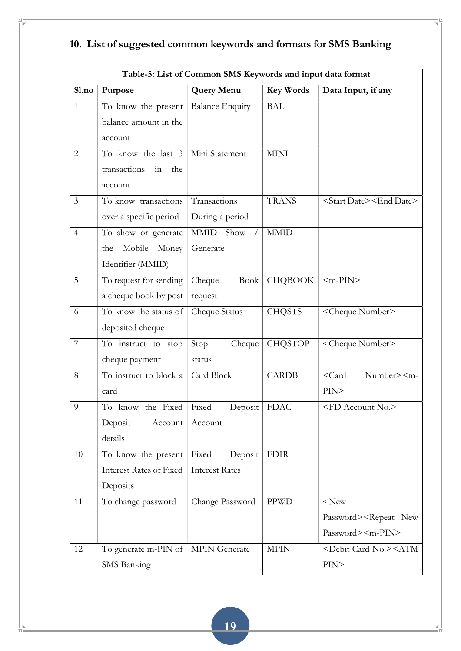|                | Table-5: List of Common SMS Keywords and input data format |                        |                  |                                                   |  |  |  |
|----------------|------------------------------------------------------------|------------------------|------------------|---------------------------------------------------|--|--|--|
| Sl.no          | Purpose                                                    | <b>Query Menu</b>      | <b>Key Words</b> | Data Input, if any                                |  |  |  |
| $\mathbf{1}$   | To know the present                                        | <b>Balance Enquiry</b> | <b>BAL</b>       |                                                   |  |  |  |
|                | balance amount in the                                      |                        |                  |                                                   |  |  |  |
|                | account                                                    |                        |                  |                                                   |  |  |  |
| $\overline{2}$ | To know the last 3                                         | Mini Statement         | <b>MINI</b>      |                                                   |  |  |  |
|                | transactions<br>the<br>in                                  |                        |                  |                                                   |  |  |  |
|                | account                                                    |                        |                  |                                                   |  |  |  |
| 3              | To know transactions                                       | Transactions           | <b>TRANS</b>     | <start date=""><end date=""></end></start>        |  |  |  |
|                | over a specific period                                     | During a period        |                  |                                                   |  |  |  |
| $\overline{4}$ | To show or generate                                        | Show<br>MMID           | <b>MMID</b>      |                                                   |  |  |  |
|                | Mobile<br>Money<br>the                                     | Generate               |                  |                                                   |  |  |  |
|                | Identifier (MMID)                                          |                        |                  |                                                   |  |  |  |
| 5              | To request for sending                                     | Cheque<br>Book         | <b>CHQBOOK</b>   | $\langle m-PIN \rangle$                           |  |  |  |
|                | a cheque book by post                                      | request                |                  |                                                   |  |  |  |
| 6              | To know the status of                                      | Cheque Status          | <b>CHQSTS</b>    | <cheque number=""></cheque>                       |  |  |  |
|                | deposited cheque                                           |                        |                  |                                                   |  |  |  |
| 7              | To instruct to stop                                        | Stop<br>Cheque         | <b>CHQSTOP</b>   | <cheque number=""></cheque>                       |  |  |  |
|                | cheque payment                                             | status                 |                  |                                                   |  |  |  |
| 8              | To instruct to block a                                     | Card Block             | <b>CARDB</b>     | $<$ Card<br>Number> <m-< td=""></m-<>             |  |  |  |
|                | card                                                       |                        |                  | PIN                                               |  |  |  |
| $\overline{9}$ | To know the Fixed Fixed                                    | Deposit   FDAC         |                  | <fd account="" no.=""></fd>                       |  |  |  |
|                | Deposit<br>Account                                         | Account                |                  |                                                   |  |  |  |
|                | details                                                    |                        |                  |                                                   |  |  |  |
| 10             | To know the present                                        | Fixed<br>Deposit       | <b>FDIR</b>      |                                                   |  |  |  |
|                | <b>Interest Rates of Fixed</b>                             | <b>Interest Rates</b>  |                  |                                                   |  |  |  |
|                | Deposits                                                   |                        |                  |                                                   |  |  |  |
| 11             | To change password                                         | Change Password        | <b>PPWD</b>      | $<$ New                                           |  |  |  |
|                |                                                            |                        |                  | Password> <repeat new<="" td=""></repeat>         |  |  |  |
|                |                                                            |                        |                  | Password> <m-pin></m-pin>                         |  |  |  |
| 12             | To generate m-PIN of $ $                                   | MPIN Generate          | <b>MPIN</b>      | <debit card="" no.=""><atm< td=""></atm<></debit> |  |  |  |
|                | SMS Banking                                                |                        |                  | PIN>                                              |  |  |  |

# 10. List of suggested common keywords and formats for SMS Banking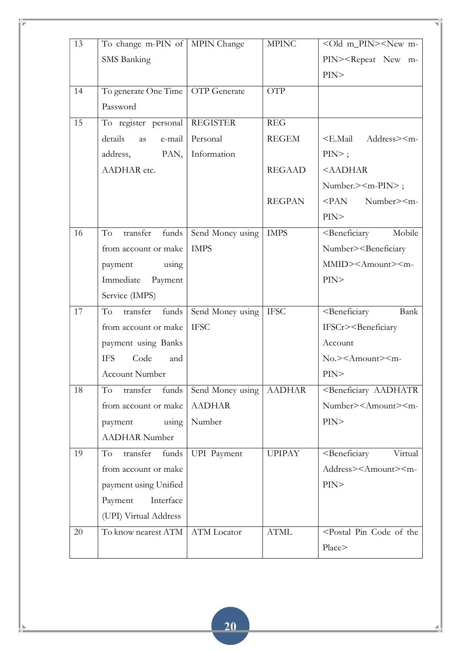| 13 | To change m-PIN of MPIN Change |                    | <b>MPINC</b>  | <old m_pin=""><new m-<="" th=""></new></old>         |
|----|--------------------------------|--------------------|---------------|------------------------------------------------------|
|    | <b>SMS</b> Banking             |                    |               | PIN> <repeat m-<="" new="" td=""></repeat>           |
|    |                                |                    |               | PIN                                                  |
|    |                                |                    |               |                                                      |
| 14 | To generate One Time           | OTP Generate       | <b>OTP</b>    |                                                      |
|    | Password                       |                    |               |                                                      |
| 15 | To register personal           | <b>REGISTER</b>    | REG           |                                                      |
|    | details<br>e-mail<br>as        | Personal           | <b>REGEM</b>  | <e.mail address=""><m-< td=""></m-<></e.mail>        |
|    | PAN,<br>address,               | Information        |               | $PIN>$ ;                                             |
|    | AADHAR etc.                    |                    | <b>REGAAD</b> | <aadhar< td=""></aadhar<>                            |
|    |                                |                    |               | Number.> <m-pin>;</m-pin>                            |
|    |                                |                    | <b>REGPAN</b> | PAN<br>Number> <m-< td=""></m-<>                     |
|    |                                |                    |               | PIN                                                  |
| 16 | To<br>transfer<br>funds        | Send Money using   | <b>IMPS</b>   | <beneficiary<br>Mobile</beneficiary<br>              |
|    | from account or make           | <b>IMPS</b>        |               | Number> <beneficiary< td=""></beneficiary<>          |
|    | using<br>payment               |                    |               | MMID> <amount><m-< td=""></m-<></amount>             |
|    | Immediate<br>Payment           |                    |               | PIN                                                  |
|    | Service (IMPS)                 |                    |               |                                                      |
| 17 | To<br>transfer<br>funds        | Send Money using   | <b>IFSC</b>   | <beneficiary<br>Bank</beneficiary<br>                |
|    | from account or make           | <b>IFSC</b>        |               | IFSCr> <beneficiary< td=""></beneficiary<>           |
|    | payment using Banks            |                    |               | Account                                              |
|    | Code<br><b>IFS</b><br>and      |                    |               | No.> <amount><m-< td=""></m-<></amount>              |
|    | <b>Account Number</b>          |                    |               | PIN                                                  |
| 18 | transfer<br>funds<br>To        | Send Money using   | <b>AADHAR</b> | <beneficiary aadhatr<="" td=""></beneficiary>        |
|    | from account or make           | <b>AADHAR</b>      |               | Number> <amount><m-< td=""></m-<></amount>           |
|    | using<br>payment               | Number             |               | PIN>                                                 |
|    | <b>AADHAR Number</b>           |                    |               |                                                      |
| 19 | transfer<br>To<br>funds        | <b>UPI</b> Payment | <b>UPIPAY</b> | <beneficiary<br>Virtual</beneficiary<br>             |
|    | from account or make           |                    |               | Address> <amount><m-< td=""></m-<></amount>          |
|    | payment using Unified          |                    |               | PIN>                                                 |
|    | Payment<br>Interface           |                    |               |                                                      |
|    | (UPI) Virtual Address          |                    |               |                                                      |
| 20 | To know nearest ATM            | <b>ATM</b> Locator | <b>ATML</b>   | <postal code="" of="" pin="" td="" the<=""></postal> |
|    |                                |                    |               | Place>                                               |
|    |                                |                    |               |                                                      |